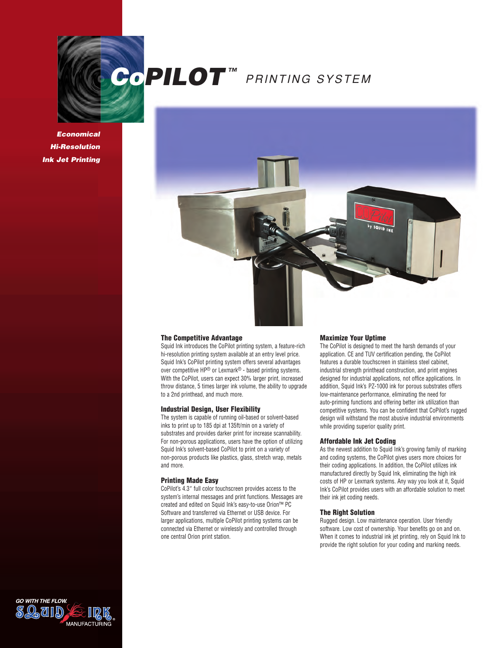

*Economical Hi-Resolution Ink Jet Printing*



#### **The Competitive Advantage**

Squid Ink introduces the CoPilot printing system, a feature-rich hi-resolution printing system available at an entry level price. Squid Ink's CoPilot printing system offers several advantages over competitive HP® or Lexmark® - based printing systems. With the CoPilot, users can expect 30% larger print, increased throw distance, 5 times larger ink volume, the ability to upgrade to a 2nd printhead, and much more.

#### **Industrial Design, User Flexibility**

The system is capable of running oil-based or solvent-based inks to print up to 185 dpi at 135ft/min on a variety of substrates and provides darker print for increase scannability. For non-porous applications, users have the option of utilizing Squid Ink's solvent-based CoPilot to print on a variety of non-porous products like plastics, glass, stretch wrap, metals and more.

#### **Printing Made Easy**

CoPilot's 4.3″ full color touchscreen provides access to the system's internal messages and print functions. Messages are created and edited on Squid Ink's easy-to-use Orion™ PC Software and transferred via Ethernet or USB device. For larger applications, multiple CoPilot printing systems can be connected via Ethernet or wirelessly and controlled through one central Orion print station.

#### **Maximize Your Uptime**

The CoPilot is designed to meet the harsh demands of your application. CE and TUV certification pending, the CoPilot features a durable touchscreen in stainless steel cabinet, industrial strength printhead construction, and print engines designed for industrial applications, not office applications. In addition, Squid Ink's PZ-1000 ink for porous substrates offers low-maintenance performance, eliminating the need for auto-priming functions and offering better ink utilization than competitive systems. You can be confident that CoPilot's rugged design will withstand the most abusive industrial environments while providing superior quality print.

#### **Affordable Ink Jet Coding**

As the newest addition to Squid Ink's growing family of marking and coding systems, the CoPilot gives users more choices for their coding applications. In addition, the CoPilot utilizes ink manufactured directly by Squid Ink, eliminating the high ink costs of HP or Lexmark systems. Any way you look at it, Squid Ink's CoPilot provides users with an affordable solution to meet their ink jet coding needs.

### **The Right Solution**

Rugged design. Low maintenance operation. User friendly software. Low cost of ownership. Your benefits go on and on. When it comes to industrial ink jet printing, rely on Squid Ink to provide the right solution for your coding and marking needs.